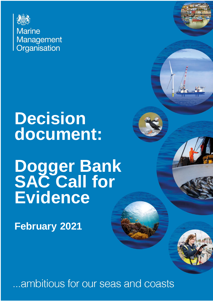

# **Decision document:**

# **Dogger Bank SAC Call for Evidence**

**February 2021**

...ambitious for our seas and coasts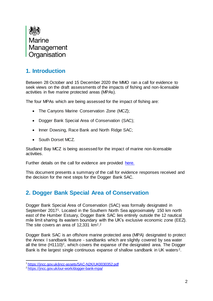

# **1. Introduction**

Between 28 October and 15 December 2020 the MMO ran a call for evidence to seek views on the draft assessments of the impacts of fishing and non-licensable activities in five marine protected areas (MPAs).

The four MPAs which are being assessed for the impact of fishing are:

- The Canyons Marine Conservation Zone (MCZ);
- Dogger Bank Special Area of Conservation (SAC);
- Inner Dowsing, Race Bank and North Ridge SAC;
- South Dorset MCZ.

Studland Bay MCZ is being assessed for the impact of marine non-licensable activities.

Further details on the call for evidence are provided [here.](https://www.gov.uk/government/publications/managing-fisheries-in-marine-protection-areas-call-for-evidence)

This document presents a summary of the call for evidence responses received and the decision for the next steps for the Dogger Bank SAC.

# **2. Dogger Bank Special Area of Conservation**

Dogger Bank Special Area of Conservation (SAC) was formally designated in September 20171. Located in the Southern North Sea approximately 150 km north east of the Humber Estuary, Dogger Bank SAC lies entirely outside the 12 nautical mile limit sharing its eastern boundary with the UK's exclusive economic zone (EEZ). The site covers an area of  $12,331$  $12,331$  $12,331$  km<sup>2,2</sup>

Dogger Bank SAC is an offshore marine protected area (MPA) designated to protect the Annex I sandbank feature - sandbanks which are slightly covered by sea water all the time (H1110)<sup>[2](#page-1-0)</sup>, which covers the expanse of the designated area. The Dogger Bank is the largest single continuous expanse of shallow sandbank in UK waters <sup>2</sup>.

<span id="page-1-0"></span>l <sup>1</sup> <https://jncc.gov.uk/jncc-assets/SAC-N2K/UK0030352.pdf>

<sup>2</sup> <https://jncc.gov.uk/our-work/dogger-bank-mpa/>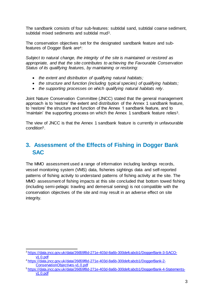<span id="page-2-0"></span>The sandbank consists of four sub-features: subtidal sand, subtidal coarse sediment, subtidal mixed sediments and subtidal mud3.

The conservation objectives set for the designated sandbank feature and subfeatures of Dogger Bank are4:

*Subject to natural change, the integrity of the site is maintained or restored as appropriate, and that the site contributes to achieving the Favourable Conservation Status of its qualifying features, by maintaining or restoring:*

- *the extent and distribution of qualifying natural habitats;*
- *the structure and function (including typical species) of qualifying habitats;*
- *the supporting processes on which qualifying natural habitats rely.*

Joint Nature Conservation Committee (JNCC) stated that the general management approach is to 'restore' the extent and distribution of the Annex 1 sandbank feature, to 'restore' the structure and function of the Annex 1 sandbank feature, and to 'maintain' the supporting process on which the Annex 1 sandbank feature relies[3](#page-2-0).

The view of JNCC is that the Annex 1 sandbank feature is currently in unfavourable condition5.

# **3. Assessment of the Effects of Fishing in Dogger Bank SAC**

The MMO assessment used a range of information including landings records, vessel monitoring system (VMS) data, fisheries sightings data and self-reported patterns of fishing activity to understand patterns of fishing activity at the site. The MMO assessment of fishing impacts at this site concluded that bottom towed fishing (including semi-pelagic trawling and demersal seining) is not compatible with the conservation objectives of the site and may result in an adverse effect on site integrity.

j <sup>3</sup> [https://data.jncc.gov.uk/data/26659f8d-271e-403d-8a6b-300defcabcb1/DoggerBank-3-SACO](https://data.jncc.gov.uk/data/26659f8d-271e-403d-8a6b-300defcabcb1/DoggerBank-3-SACO-v1.0.pdf)[v1.0.pdf](https://data.jncc.gov.uk/data/26659f8d-271e-403d-8a6b-300defcabcb1/DoggerBank-3-SACO-v1.0.pdf)

<sup>4</sup> [https://data.jncc.gov.uk/data/26659f8d-271e-403d-8a6b-300defcabcb1/DoggerBank-2-](https://data.jncc.gov.uk/data/26659f8d-271e-403d-8a6b-300defcabcb1/DoggerBank-2-ConservationObjectives-v1.0.pdf) [ConservationObjectives-v1.0.pdf](https://data.jncc.gov.uk/data/26659f8d-271e-403d-8a6b-300defcabcb1/DoggerBank-2-ConservationObjectives-v1.0.pdf)

<sup>5</sup> [https://data.jncc.gov.uk/data/26659f8d-271e-403d-8a6b-300defcabcb1/DoggerBank-4-Statements](https://data.jncc.gov.uk/data/26659f8d-271e-403d-8a6b-300defcabcb1/DoggerBank-4-Statements-v1.0.pdf)[v1.0.pdf](https://data.jncc.gov.uk/data/26659f8d-271e-403d-8a6b-300defcabcb1/DoggerBank-4-Statements-v1.0.pdf)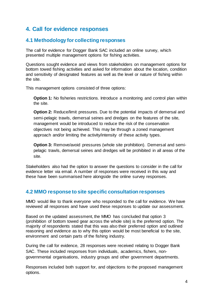# **4. Call for evidence responses**

## **4.1 Methodology for collecting responses**

The call for evidence for Dogger Bank SAC included an online survey, which presented multiple management options for fishing activities.

Questions sought evidence and views from stakeholders on management options for bottom towed fishing activities and asked for information about the location, condition and sensitivity of designated features as well as the level or nature of fishing within the site.

This management options consisted of three options:

**Option 1:** No fisheries restrictions. Introduce a monitoring and control plan within the site.

**Option 2:** Reduce/limit pressures. Due to the potential impacts of demersal and semi-pelagic trawls, demersal seines and dredges on the features of the site, management would be introduced to reduce the risk of the conservation objectives not being achieved. This may be through a zoned management approach and/or limiting the activity/intensity of these activity types.

**Option 3:** Remove/avoid pressures (whole site prohibition). Demersal and semipelagic trawls, demersal seines and dredges will be prohibited in all areas of the site.

Stakeholders also had the option to answer the questions to consider in the call for evidence letter via email. A number of responses were received in this way and these have been summarised here alongside the online survey responses.

# **4.2 MMO response to site specific consultation responses**

MMO would like to thank everyone who responded to the call for evidence. We have reviewed all responses and have used these responses to update our assessment.

Based on the updated assessment, the MMO has concluded that option 3 (prohibition of bottom towed gear across the whole site) is the preferred option. The majority of respondents stated that this was also their preferred option and outlined reasoning and evidence as to why this option would be most beneficial to the site, environment and certain parts of the fishing industry.

During the call for evidence, 28 responses were received relating to Dogger Bank SAC. These included responses from individuals, academics, fishers, nongovernmental organisations, industry groups and other government departments.

Responses included both support for, and objections to the proposed management options.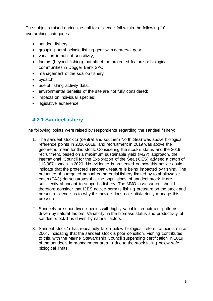The subjects raised during the call for evidence fall within the following 10 overarching categories:

- sandeel fishery;
- grouping semi-pelagic fishing gear with demersal gear;
- variation in habitat sensitivity;
- factors (beyond fishing) that affect the protected feature or biological communities in Dogger Bank SAC;
- management of the scallop fishery;
- bycatch;
- use of fishing activity data;
- environmental benefits of the site are not fully considered;
- impacts on individual species;
- legislative adherence.

# **4.2.1 Sandeel fishery**

The following points were raised by respondents regarding the sandeel fishery:

- 1. The sandeel stock 1r (central and southern North Sea) was above biological reference points in 2016-2018, and recruitment in 2019 was above the geometric mean for this stock. Considering the stock's status and the 2019 recruitment, based on a maximum sustainable yield (MSY) approach, the International Council for the Exploration of the Sea (ICES) advised a catch of 113,987 tonnes in 2020. No evidence is presented on how this advice could indicate that the protected sandbank feature is being impacted by fishing. The presence of a targeted annual commercial fishery limited by total allowable catch (TAC) demonstrates that the populations of sandeel stock 1r are sufficiently abundant to support a fishery. The MMO assessment should therefore consider that ICES advice permits fishing pressure on the stock and present evidence as to why this advice does not satisfactorily manage this pressure.
- 2. Sandeels are short-lived species with highly variable recruitment patterns driven by natural factors. Variability in the biomass status and productivity of sandeel stock 1r is driven by natural factors.
- 3. Sandeel stock 1r has repeatedly fallen below biological reference points since 2004, indicating that the sandeel stock is poor condition. Fishing contributes to this, with the Marine Stewardship Council suspending certification in 2019 of the sandeels in management area 1r due to the stock falling below safe biological limits.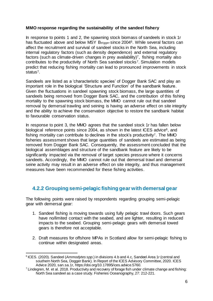#### **MMO response regarding the sustainability of the sandeel fishery**

<span id="page-5-1"></span><span id="page-5-0"></span>In response to points 1 and 2, the spawning stock biomass of sandeels in stock 1r has fluctuated above and below MSY Btrigger since 2004<sup>6</sup>. While several factors can affect the recruitment and survival of sandeel stocks in the North Sea, including internal regulatory factors (such as density dependence) and external regulatory factors (such as climate-driven changes in prey availability) <sup>7</sup>, fishing mortality also contributes to the productivity of North Sea sandeel stocks<sup>[7](#page-5-0)</sup>. Simulation models predict that reducing fishing mortality can lead to pronounced improvements in stock status<sup>[7](#page-5-0)</sup>.

Sandeels are listed as a 'characteristic species' of Dogger Bank SAC and play an important role in the biological 'Structure and Function' of the sandbank feature. Given the fluctuations in sandeel spawning stock biomass, the large quantities of sandeels being removed from Dogger Bank SAC, and the contribution of this fishing mortality to the spawning stock biomass, the MMO cannot rule out that sandeel removal by demersal trawling and seining is having an adverse effect on site integrity and the ability to achieve the conservation objective to restore the sandbank habitat to favourable conservation status.

In response to point 3, the MMO agrees that the sandeel stock 1r has fallen below biological reference points since 2004, as shown in the latest ICES advice<sup>[6](#page-5-1)</sup>, and fishing mortality can contribute to declines in the stock's productivity[7](#page-5-0). The MMO fisheries assessment shows that large quantities of sandeels are estimated as being removed from Dogger Bank SAC. Consequently, the assessment concluded that the biological assemblages and structure of the sandbank feature are likely to be significantly impacted via the removal of target species pressure where it concerns sandeels. Accordingly, the MMO cannot rule out that demersal trawl and demersal seine activity may result in an adverse effect on site integrity, and thus management measures have been recommended for these fishing activities.

# **4.2.2 Grouping semi-pelagic fishing gear with demersal gear**

The following points were raised by respondents regarding grouping semi-pelagic gear with demersal gear:

- 1. Sandeel fishing is moving towards using fully pelagic trawl doors. Such gears have no/limited contact with the seabed, and are lighter, resulting in reduced impacts to the seabed. Grouping semi-pelagic gears with demersal towed gears is therefore not acceptable.
- 2. Draft measures for offshore MPAs in Scotland allow for semi-pelagic fishing to continue within designated areas.

j <sup>6</sup> ICES. (2020). Sandeel (Ammodytes spp.) in divisions 4.b and 4.c, Sandeel Area 1r (central and southern North Sea, Dogger Bank). In Report of the ICES Advisory Committee, 2020. ICES Advice 2020, san.sa.1r, https://doi.org/10.17895/ices.advice.5760.

 $7$  Lindegren, M. et al. 2018. Productivity and recovery of forage fish under climate change and fishing: North Sea sandeel as a case study. Fisheries Oceanography, 27: 212-221.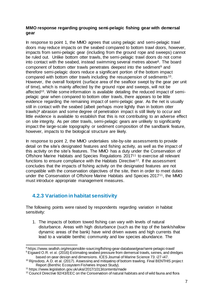### **MMO response regarding grouping semi-pelagic fishing gear with demersal gear**

<span id="page-6-1"></span><span id="page-6-0"></span>In response to point 1, the MMO agrees that using pelagic and semi-pelagic trawl doors may reduce impacts on the seabed compared to bottom trawl doors, however, impacts from semi-pelagic gear (including from the ground rope and sweeps) cannot be ruled out. Unlike bottom otter trawls, the semi-pelagic trawl doors do not come into contact with the seabed, instead swimming several metres above8. The board component of bottom otter trawls penetrates deepest into the sediment<sup>9</sup> and therefore semi-pelagic doors reduce a significant portion of the bottom impact compared with bottom otter trawls including the resuspension of sediments <sup>10</sup>. However, the overall footprint (surface area of the seafloor swept by the gear per unit of time), which is mainly affected by the ground rope and sweeps, will not be affected<sup>[10](#page-6-0)</sup>. While some information is available detailing the reduced impact of semipelagic gear when compared to bottom otter trawls, there appears to be little evidence regarding the remaining impact of semi-pelagic gear. As the net is usually still in contact with the seabed (albeit perhaps more lightly than in bottom otter trawls) $8$  abrasion and some degree of penetration impact is still likely to occur and little evidence is available to establish that this is not contributing to an adverse effect on site integrity. As per otter trawls, semi-pelagic gears are unlikely to significantly impact the large-scale topography or sediment composition of the sandbank feature, however, impacts to the biological structure are likely.

In response to point 2, the MMO undertakes site-by-site assessments to provide detail on the site's designated features and fishing activity, as well as the impact of this activity on the site's features. The MMO has a duty under the Conservation of Offshore Marine Habitats and Species Regulations 2017<sup>11</sup> to exercise all relevant functions to ensure compliance with the Habitats Directive12. If the assessment concludes that the impacts of fishing activity on the designated features are not compatible with the conservation objectives of the site, then in order to meet duties under the Conservation of Offshore Marine Habitats and Species 2017[11](#page-6-2), the MMO must introduce appropriate management measures.

# <span id="page-6-2"></span>**4.2.3 Variation in habitat sensitivity**

The following points were raised by respondents regarding variation in habitat sensitivity:

1. The impacts of bottom towed fishing can vary with levels of natural disturbance. Areas with high disturbance (such as the top of the bank/shallow dynamic areas of the bank) have wind driven waves and high currents that lead to a variable benthic community and low species abundance. The

based on gear design and dimensions. ICES Journal of Marine Science 73: i27-i47.

l <sup>8</sup> https://www.seafish.org/responsible-sourcing/fishing-gear-database/gear/semi-pelagic-trawl/ <sup>9</sup> Eigaard O.R. et al. (2016) Estimating seabed pressure from demersal trawls, seines, and dredges

<sup>&</sup>lt;sup>10</sup> Rijnsdorp, A.D. et al. (2017). Assessing and mitigating of bottom trawling. Final BENTHIS project Report (Benthic Ecosystem Fisheries Impact Study).

<sup>11</sup> https://www.legislation.gov.uk/uksi/2017/1013/contents/made

<sup>&</sup>lt;sup>12</sup> Council Directive 92/43/EEC on the Conservation of natural habitats and of wild fauna and flora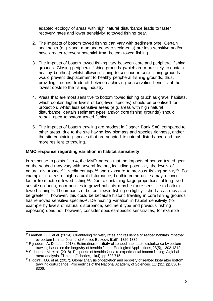adapted ecology of areas with high natural disturbance leads to faster recovery rates and lower sensitivity to towed fishing gear.

- 2. The impacts of bottom towed fishing can vary with sediment type. Certain sediments (e.g. sand, mud and coarser sediments) are less sensitive and/or have greater recovery potential from bottom towed fishing.
- 3. The impacts of bottom towed fishing vary between core and peripheral fishing grounds. Closing peripheral fishing grounds (which are more likely to contain healthy benthos), whilst allowing fishing to continue in core fishing grounds would prevent displacement to healthy peripheral fishing grounds; thus, providing the best trade-off between achieving conservation benefits at the lowest costs to the fishing industry.
- 4. Areas that are most sensitive to bottom towed fishing (such as gravel habitats, which contain higher levels of long-lived species) should be prioritised for protection, whilst less sensitive areas (e.g. areas with high natural disturbance, certain sediment types and/or core fishing grounds) should remain open to bottom towed fishing.
- <span id="page-7-2"></span>5. The impacts of bottom trawling are modest in Dogger Bank SAC compared to other areas, due to the site having low biomass and species richness, and/or the site containing species that are adapted to natural disturbance and thus more resilient to trawling.

#### **MMO response regarding variation in habitat sensitivity**

<span id="page-7-1"></span><span id="page-7-0"></span>In response to points 1 to 4, the MMO agrees that the impacts of bottom towed gear on the seabed may vary with several factors, including potentially the levels of natural disturbance<sup>13</sup>, sediment type<sup>14</sup> and exposure to previous fishing activity<sup>15</sup>. For example, in areas of high natural disturbance, benthic communities may recover faster from bottom towed fishing<sup>[13](#page-7-0)</sup>. Due to containing large proportions of long-lived sessile epifauna, communities in gravel habitats may be more sensitive to bottom towed fishing[14](#page-7-1). The impacts of bottom towed fishing on lightly fished areas may also be greater<sup>[15](#page-7-2)</sup>; however, this could be because historic trawling in core fishing grounds has removed sensitive species<sup>16</sup>. Delineating variation in habitat sensitivity (for example by levels of natural disturbance, sediment type and previous fishing exposure) does not, however, consider species-specific sensitivities, for example

<span id="page-7-3"></span>l <sup>13</sup> Lambert, G. I. et al. (2014). Quantifying recovery rates and resilience of seabed habitats impacted by bottom fishing. Journal of Applied Ecology, 51(5), 1326-1336.

<sup>&</sup>lt;sup>14</sup> Rijnsdorp, A. D. et al. (2018). Estimating sensitivity of seabed habitats to disturbance by bottom trawling based on the longevity of benthic fauna. Ecological Applications, 28(5), 1302-1312.

<sup>15</sup> Sciberras, M. et al. (2018). Response of benthic fauna to experimental bottom fishing: A global meta‐analysis. Fish and Fisheries, 19(4), pp.698-715.

<sup>&</sup>lt;sup>16</sup> Hiddink, J.G. et al. (2017). Global analysis of depletion and recovery of seabed biota after bottom trawling disturbance. Proceedings of the National Academy of Sciences, 114(31), pp.8301- 8306.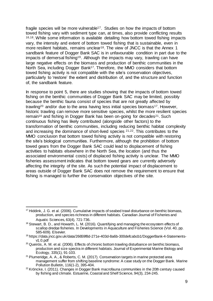<span id="page-8-1"></span><span id="page-8-0"></span>fragile species will be more vulnerable<sup>17</sup>. Studies on how the impacts of bottom towed fishing vary with sediment type can, at times, also provide conflicting results [16,](#page-7-3)18. While some information is available detailing how bottom towed fishing impacts vary, the intensity and extent of bottom towed fishing that is sustainable, even in more resilient habitats, remains unclear<sup>[18](#page-8-0)</sup>. The view of JNCC is that the Annex 1 sandbank feature of Dogger Bank SAC is in unfavourable condition in part due to the impacts of demersal fishing19. Although the impacts may vary, trawling can have large negative effects on the biomass and production of benthic communities in the North Sea, including Dogger Bank<sup>[17](#page-8-1)</sup>. Therefore, the MMO considers that bottom towed fishing activity is not compatible with the site's conservation objectives, particularly to 'restore' the extent and distribution of, and the structure and function of, the sandbank feature.

<span id="page-8-3"></span><span id="page-8-2"></span>In response to point 5, there are studies showing that the impacts of bottom towed fishing on the benthic communities of Dogger Bank SAC may be limited, possibly because the benthic fauna consist of species that are not greatly affected by trawling<sup>20</sup> and/or due to the area having less initial species biomass<sup>[17](#page-8-1)</sup>. However, historic trawling can remove more sensitive species, whilst the more resilient species remain<sup>[16](#page-7-3)</sup> and fishing in Dogger Bank has been on-going for decades<sup>[21](#page-8-2)</sup>. Such continuous fishing has likely contributed (alongside other factors) to the transformation of benthic communities, including reducing benthic habitat complexity and increasing the dominance of short-lived species 21,22. This contributes to the MMO conclusion that bottom towed fishing activity is not compatible with restoring the site's biological communities. Furthermore, although the prohibition of bottom towed gears from the Dogger Bank SAC could lead to displacement of fishing activities to habitats elsewhere in the North Sea, the location (and thus the associated environmental costs) of displaced fishing activity is unclear. The MMO fisheries assessment indicates that bottom towed gears are currently adversely affecting the integrity of the site. As such the potential impact of displacement to areas outside of Dogger Bank SAC does not remove the requirement to ensure that fishing is managed to further the conservation objectives of the site.

l

 $17$  Hiddink, J. G. et al. (2006). Cumulative impacts of seabed trawl disturbance on benthic biomass, production, and species richness in different habitats. Canadian Journal of Fisheries and Aquatic Sciences, 63(4), 721-736.

<sup>&</sup>lt;sup>18</sup> Stewart, B. D., and Howarth, L. M. (2016). Quantifying and managing the ecosystem effects of scallop dredge fisheries. In Developments in Aquaculture and Fisheries Science (Vol. 40, pp. 585-609). Elsevier.

<sup>&</sup>lt;sup>19</sup> https://data.jncc.gov.uk/data/26659f8d-271e-403d-8a6b-300defcabcb1/DoggerBank-4-Statementsv1.0.pdf

<sup>&</sup>lt;sup>20</sup> Queirós, A. M. et al. (2006). Effects of chronic bottom trawling disturbance on benthic biomass, production and size spectra in different habitats. Journal of Experimental Marine Biology and Ecology, 335(1), 91-103.

<sup>&</sup>lt;sup>21</sup> Plumeridge, A. A., & Roberts, C. M. (2017). Conservation targets in marine protected area management suffer from shifting baseline syndrome: A case study on the Dogger Bank. Marine Pollution Bulletin, 116(1-2), 395-404.

 $22$  Kröncke, I. (2011). Changes in Dogger Bank macrofauna communities in the 20th century caused by fishing and climate. Estuarine, Coastal and Shelf Science, 94(3), 234-245.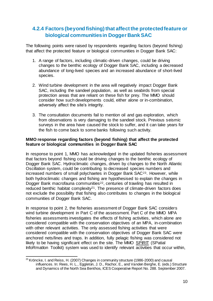# **4.2.4 Factors (beyond fishing) that affect the protected feature or biological communities in Dogger Bank SAC**

The following points were raised by respondents regarding factors (beyond fishing) that affect the protected feature or biological communities in Dogger Bank SAC:

- 1. A range of factors, including climatic-driven changes, could be driving changes to the benthic ecology of Dogger Bank SAC, including a decreased abundance of long-lived species and an increased abundance of short-lived species.
- 2. Wind turbine development in the area will negatively impact Dogger Bank SAC, including the sandeel population, as well as seabirds from special protection areas that are reliant on these fish for prey. The MMO should consider how such developments could, either alone or in-combination, adversely affect the site's integrity.
- 3. The consultation documents fail to mention oil and gas exploration, which from observations is very damaging to the sandeel stock. Previous seismic surveys in the area have caused the stock to suffer, and it can take years for the fish to come back to some banks following such activity.

### **MMO response regarding factors (beyond fishing) that affect the protected feature or biological communities in Dogger Bank SAC**

In response to point 1, MMO has acknowledged in the updated fisheries assessment that factors beyond fishing could be driving changes to the benthic ecology of Dogger Bank SAC. Hydroclimatic changes, driven by changes to the North Atlantic Oscillation system, could be contributing to decreased species numbers and increased numbers of small polychaetes in Dogger Bank SAC23. However, while both hydroclimatic changes and fishing are hypothesised to explain the changes in Dogger Bank macrofauna communities<sup>[22](#page-8-3)</sup>, centuries of trawling has resulted in reduced benthic habitat complexity<sup>[21](#page-8-2)</sup>. The presence of climate-driven factors does not exclude the possibility that fishing also contributes to changes in the biological communities of Dogger Bank SAC.

In response to point 2, the fisheries assessment of Dogger Bank SAC considers wind turbine development in Part C of the assessment. Part C of the MMO MPA fisheries assessments investigates the effects of fishing activities, which alone are considered compatible with the conservation objectives of an MPA, in-combination with other relevant activities. The only assessed fishing activities that were considered compatible with the conservation objectives of Dogger Bank SAC were anchored nets/lines and traps. In addition, fully pelagic fishing was considered not likely to be having significant effect on the site. The MMO [SPIRIT](http://services.demeter.zeus.gsi.gov.uk/spiritmarine/Map.action?themeName=) (SPatial InfoRmatIon Toolkit) system was used to identify relevant activities that occur within,

l  $^{23}$  Kröncke, I. and Reiss, H. (2007) Changes in community structure (1986-2000) and causal influences. In: Rees, H. L., Eggleton, J. D., Rachor, E., and Vanden Berghe, E. (eds.) Structure and Dynamics of the North Sea Benthos, ICES Cooperative Report No. 288. September 2007.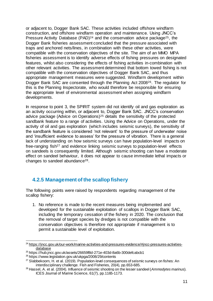<span id="page-10-0"></span>or adjacent to, Dogger Bank SAC. These activities included offshore windfarm construction, and offshore windfarm operation and maintenance. Using JNCC's Pressure Activity Database (PAD)<sup>24</sup> and the conservation advice package<sup>25</sup>, the Dogger Bank fisheries assessment concluded that the pressure associated with traps and anchored nets/lines, in combination with these other activities, were compatible with the conservation objectives of the site. The aim of an MMO MPA fisheries assessment is to identify adverse effects of fishing pressures on designated features, whilst also considering the effects of fishing activities in-combination with other relevant activities. The assessment determined that bottom towed fishing is not compatible with the conservation objectives of Dogger Bank SAC, and thus appropriate management measures were suggested. Windfarm development within Dogger Bank SAC are consented through the Planning Act 200826. The regulator for this is the Planning Inspectorate, who would therefore be responsible for ensuring the appropriate level of environmental assessment when assigning windfarm developments.

In response to point 3, the SPIRIT system did not identify oil and gas exploration as an activity occurring within, or adjacent to, Dogger Bank SAC. JNCC's conservation advice package (Advice on Operations)[25](#page-10-0) details the sensitivity of the protected sandbank feature to a range of activities. Using the Advice on Operations, under the activity of oil and gas exploration (which includes seismic surveys), the sensitivity of the sandbank feature is considered 'not relevant' to the pressure of underwater noise and 'insufficient evidence to assess' for the pressure of vibration. There is a general lack of understanding on how seismic surveys can have population-level impacts on free-ranging fish<sup>27</sup> and evidence linking seismic surveys to population-level effects on sandeels is consequently limited. Although seismic shooting can have a moderate effect on sandeel behaviour, it does not appear to cause immediate lethal impacts or changes to sandeel abundance28.

# **4.2.5 Management of the scallop fishery**

The following points were raised by respondents regarding management of the scallop fishery:

1. No reference is made to the recent measures being implemented and developed for the sustainable exploitation of scallops in Dogger Bank SAC, including the temporary cessation of the fishery in 2020. The conclusion that the removal of target species by dredges is not compatible with the conservation objectives is therefore not appropriate if management is to permit a sustainable level of exploitation.

l <sup>24</sup> [https://jncc.gov.uk/our-work/marine-activities-and-pressures-evidence/#jncc-pressures-activities](https://jncc.gov.uk/our-work/marine-activities-and-pressures-evidence/#jncc-pressures-activities-database)[database](https://jncc.gov.uk/our-work/marine-activities-and-pressures-evidence/#jncc-pressures-activities-database)

<sup>25</sup> https://hub.jncc.gov.uk/assets/26659f8d-271e-403d-8a6b-300defcabcb1

<sup>26</sup> https://www.legislation.gov.uk/ukpga/2008/29/contents

 $27$  Slabbekoorn, H. et al. (2019). Population-level consequences of seismic surveys on fishes: An interdisciplinary challenge. Fish and Fisheries, 20(4), pp.653-685.

<sup>28</sup> Hassel, A. et al. (2004). Influence of seismic shooting on the lesser sandeel (*Ammodytes marinus*). ICES Journal of Marine Science, 61(7), pp.1165-1173.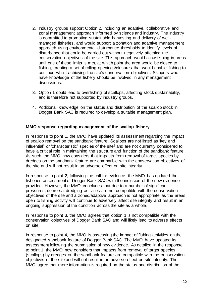- 2. Industry groups support Option 2, including an adaptive, collaborative and zonal management approach informed by science and industry. The industry is committed to promoting sustainable harvesting and delivery of wellmanaged fisheries, and would support a zonation and adaptive management approach using environmental disturbance thresholds to identify levels of disturbance that could be carried out without negatively affecting the conservation objectives of the site. This approach would allow fishing in areas until one of these limits is met, at which point the area would be closed to fishing, creating a set of rolling openings/closures that would enable fishing to continue whilst achieving the site's conservation objectives. Skippers who have knowledge of the fishery should be involved in any management discussions.
- 3. Option 1 could lead to overfishing of scallops, affecting stock sustainability, and is therefore not supported by industry groups.
- 4. Additional knowledge on the status and distribution of the scallop stock in Dogger Bank SAC is required to develop a suitable management plan.

#### **MMO response regarding management of the scallop fishery**

In response to point 1, the MMO have updated its assessment regarding the impact of scallop removal on the sandbank feature. Scallops are not listed as 'key and influential' or 'characteristic' species of the site<sup>[3](#page-2-0)</sup> and are not currently considered to have a critical role in maintaining the structure and function of the sandbank feature. As such, the MMO now considers that impacts from removal of target species by dredges on the sandbank feature are compatible with the conservation objectives of the site and will not result in an adverse effect on site integrity.

In response to point 2, following the call for evidence, the MMO has updated the fisheries assessment of Dogger Bank SAC with the inclusion of the new evidence provided. However, the MMO concludes that due to a number of significant pressures, demersal dredging activities are not compatible with the conservation objectives of the site and a zoned/adaptive approach is not appropriate as the areas open to fishing activity will continue to adversely affect site integrity and result in an ongoing suppression of the condition across the site as a whole.

In response to point 3, the MMO agrees that option 1 is not compatible with the conservation objectives of Dogger Bank SAC and will likely lead to adverse effects on site.

In response to point 4, the MMO is assessing the impact of fishing activities on the designated sandbank feature of Dogger Bank SAC. The MMO have updated its assessment following the submission of new evidence. As detailed in the response to point 1, the MMO now considers that impacts from removal of target species (scallops) by dredges on the sandbank feature are compatible with the conservation objectives of the site and will not result in an adverse effect on site integrity. The MMO agree that more information is required on the status and distribution of the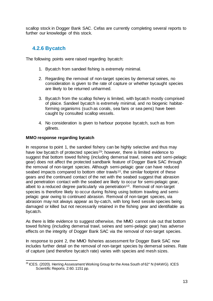scallop stock in Dogger Bank SAC. Cefas are currently completing several reports to further our knowledge of this stock.

# **4.2.6 Bycatch**

The following points were raised regarding bycatch:

- 1. Bycatch from sandeel fishing is extremely minimal.
- 2. Regarding the removal of non-target species by demersal seines, no consideration is given to the rate of capture or whether bycaught species are likely to be returned unharmed.
- 3. Bycatch from the scallop fishery is limited, with bycatch mostly comprised of plaice. Sandeel bycatch is extremely minimal, and no biogenic habitatforming organisms (such as corals, sea fans or sea pens) have been caught by consulted scallop vessels.
- 4. No consideration is given to harbour porpoise bycatch, such as from gillnets.

## **MMO response regarding bycatch**

In response to point 1, the sandeel fishery can be highly selective and thus may have low bycatch of protected species<sup>29</sup>; however, there is limited evidence to suggest that bottom towed fishing (including demersal trawl, seines and semi-pelagic gear) does not affect the protected sandbank feature of Dogger Bank SAC through the removal of non-target species. Although semi-pelagic gear can have reduced seabed impacts compared to bottom otter trawls<sup>[10](#page-6-0)</sup>, the similar footprint of these gears and the continued contact of the net with the seabed suggest that abrasion and penetration contact with the seabed are likely to occur for semi-pelagic gear, albeit to a reduced degree particularly via penetration<sup>[10](#page-6-0)</sup>. Removal of non-target species is therefore likely to occur during fishing using bottom trawling and semipelagic gear owing to continued abrasion. Removal of non-target species, via abrasion may not always appear as by-catch, with long lived sessile species being damaged or killed but not necessarily retained in the fishing gear and identifiable as bycatch.

As there is little evidence to suggest otherwise, the MMO cannot rule out that bottom towed fishing (including demersal trawl, seines and semi-pelagic gear) has adverse effects on the integrity of Dogger Bank SAC via the removal of non-target species.

In response to point 2, the MMO fisheries assessment for Dogger Bank SAC now includes further detail on the removal of non-target species by demersal seines. Rate of capture (and therefore bycatch rate) varies with species and mesh sizes.

l  $^{29}$  ICES. (2020). Herring Assessment Working Group for the Area South of 62 $^{\circ}$  N (HAWG). ICES Scientific Reports. 2:60. 1151 pp.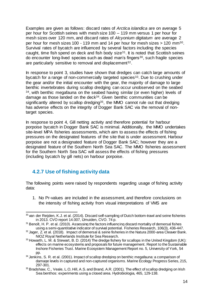<span id="page-13-0"></span>Examples are given as follows: discard rates of *Arctica islandica* are on average 5 per hour for Scottish seines with mesh size 100 – 119 mm versus 1 per hour for mesh sizes over 120 mm, and discard rates of *Alcyonium digitatum* are average 2 per hour for mesh sizes 100 - 119 mm and 14 per hour for mesh sizes  $> 120$  mm<sup>30</sup>. Survival rates of bycatch are influenced by several factors including the species caught, time fish spend on deck and fish body size $31$ . It is noted that Scottish seines do encounter long-lived species such as dead man's fingers<sup>[30](#page-13-0)</sup>, such fragile species are particularly sensitive to removal and displacement<sup>32</sup>.

<span id="page-13-2"></span><span id="page-13-1"></span>In response to point 3, studies have shown that dredges can catch large amounts of bycatch for a range of non-commercially targeted species<sup>33</sup>. Due to crushing under the gear and/or the initial encounter with the gear, the majority of damage to large benthic invertebrates during scallop dredging can occur unobserved on the seabed <sup>34</sup>, with benthic megafauna on the seabed having similar (or even higher) levels of damage as those landed on the deck[34](#page-13-1). Given benthic communities can be significantly altered by scallop dredging<sup>35</sup>, the MMO cannot rule out that dredging has adverse effects on the integrity of Dogger Bank SAC via the removal of nontarget species.

In response to point 4, Gill netting activity and therefore potential for harbour porpoise bycatch in Dogger Bank SAC is minimal. Additionally, the MMO undertakes site-level MPA fisheries assessments, which aim to assess the effects of fishing pressures on the designated features of the site that is under assessment. Harbour porpoise are not a designated feature of Dogger Bank SAC; however they are a designated feature of the Southern North Sea SAC. The MMO fisheries assessment for the Southern North Sea SAC will assess the effects of fishing pressures (including bycatch by gill nets) on harbour porpoise.

## **4.2.7 Use of fishing activity data**

The following points were raised by respondents regarding usage of fishing activity data:

1. No Pr-values are included in the assessment, and therefore conclusions on the intensity of fishing activity from visual interpretations of VMS are

l <sup>30</sup> van der Reijden, K.J. et al. (2014). Discard self-sampling of Dutch bottom-trawl and seine fisheries in 2013. CVO report 14.007, IJmuiden, CVO. 74 p.

<sup>&</sup>lt;sup>31</sup> Benoît, H. P. et al. (2010). Assessing the factors influencing discard mortality of demersal fishes using a semi-quantitative indicator of survival potential. Fisheries Research, 106(3), 436-447.

 $32$  Jager, Z. et al. (2018). Impact of demersal & seine fisheries in the Natura 2000-area Cleaver Bank. NIOZ Royal Netherlands Institute for Sea Research.

<sup>33</sup> Howarth, L. M. & Stewart, B. D. (2014) The dredge fishery for scallops in the United Kingdom (UK): effects on marine ecosystems and proposals for future management. Report to the Sustainable Inshore Fisheries Trust. Marine Ecosystem Management Report no. 5, University of York, 54 pp.

<sup>&</sup>lt;sup>34</sup> Jenkins, S. R. et al. (2001). Impact of scallop dredging on benthic megafauna: a comparison of damage levels in captured and non-captured organisms. Marine Ecology Progress Series, 215, 297-301.

<sup>&</sup>lt;sup>35</sup> Bradshaw, C., Veale, L.O, Hill, A.S. and Brand, A.R. (2001). The effect of scallop dredging on Irish Sea benthos: experiments using a closed area. Hydrobiologia, 465, 129-138.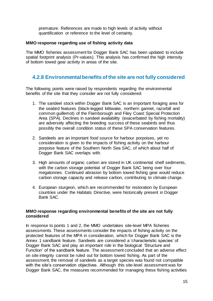premature. References are made to high levels of activity without quantification or reference to the level of certainty.

### **MMO response regarding use of fishing activity data**

The MMO fisheries assessment for Dogger Bank SAC has been updated to include spatial footprint analysis (Pr-values). This analysis has confirmed the high intensity of bottom towed gear activity in areas of the site.

# **4.2.8 Environmental benefits of the site are not fully considered**

The following points were raised by respondents regarding the environmental benefits of the site that they consider are not fully considered:

- 1. The sandeel stock within Dogger Bank SAC is an important foraging area for the seabird features (black-legged kittiwake, northern gannet, razorbill and common guillemot) of the Flamborough and Filey Coast Special Protection Area (SPA). Declines in sandeel availability (exacerbated by fishing mortality) are adversely affecting the breeding success of these seabirds and thus possibly the overall condition status of these SPA conservation features.
- 2. Sandeels are an important food source for harbour porpoises, yet no consideration is given to the impacts of fishing activity on the harbour porpoise feature of the Southern North Sea SAC, of which about half of Dogger Bank SAC overlaps with.
- 3. High amounts of organic carbon are stored in UK continental shelf sediments, with the carbon storage potential of Dogger Bank SAC being over four megatonnes. Continued abrasion by bottom towed fishing gear would reduce carbon storage capacity and release carbon, contributing to climate change.
- 4. European sturgeon, which are recommended for restoration by European countries under the Habitats Directive, were historically present in Dogger Bank SAC.

#### **MMO response regarding environmental benefits of the site are not fully considered**

In response to points 1 and 2, the MMO undertakes site-level MPA fisheries assessments. These assessments consider the impacts of fishing activity on the protected features of the MPA in consideration, which for Dogger Bank SAC is the Annex 1 sandbank feature. Sandeels are considered a 'characteristic species' of Dogger Bank SAC and play an important role in the biological 'Structure and Function' of the sandbank feature. The assessment concluded that an adverse effect on site integrity cannot be ruled out for bottom towed fishing. As part of the assessment, the removal of sandeels as a target species was found not compatible with the site's conservation objectives. Although this site-level assessment was for Dogger Bank SAC, the measures recommended for managing these fishing activities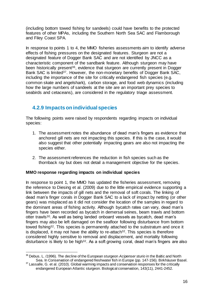(including bottom towed fishing for sandeels) could have benefits to the protected features of other MPAs, including the Southern North Sea SAC and Flamborough and Filey Coast SPA.

In response to points 1 to 4, the MMO fisheries assessments aim to identify adverse effects of fishing pressures on the designated features. Sturgeon are not a designated feature of Dogger Bank SAC and are not identified by JNCC as a characteristic component of the sandbank feature. Although sturgeon may have been historically present<sup>36</sup>, evidence that sturgeon are currently present in Dogger Bank SAC is limited<sup>37</sup>. However, the non-monetary benefits of Dogger Bank SAC, including the importance of the site for critically endangered fish species (e.g. common skate and angelshark), carbon storage, and food web dynamics (including how the large numbers of sandeels at the site are an important prey species to seabirds and cetaceans), are considered in the regulatory triage assessment.

# **4.2.9 Impacts on individual species**

The following points were raised by respondents regarding impacts on individual species:

- 1. The assessment notes the abundance of dead man's fingers as evidence that anchored gill nets are not impacting this species. If this is the case, it would also suggest that other potentially impacting gears are also not impacting the species either.
- 2. The assessment references the reduction in fish species such as the thornback ray but does not detail a management objective for the species.

#### **MMO response regarding impacts on individual species**

In response to point 1, the MMO has updated the fisheries assessment, removing the reference to Diesing et al. (2009) due to the little empirical evidence supporting a link between the impacts of gill nets and the removal of soft corals. The linking of dead man's finger corals in Dogger Bank SAC to a lack of impact by netting (or other gears) was misplaced as it did not consider the location of the samples in regard to the dominant areas of fishing activity. Although bycatch rates can vary, dead man's fingers have been recorded as bycatch in demersal seines, beam trawls and bottom otter trawls[30](#page-13-0). As well as being landed onboard vessels as bycatch, dead man's fingers may also be left damaged on the seafloor following disturbance from bottom towed fishing[32](#page-13-2). This species is permanently attached to the substratum and once it is displaced, it may not have the ability to re-attach<sup>[32](#page-13-2)</sup>. This species is therefore considered highly sensitive to removal and displacement, and mortality following disturbance is likely to be high<sup>[32](#page-13-2)</sup>. As a soft growing coral, dead man's fingers are also

l <sup>36</sup> Debus, L. (1996). The decline of the European sturgeon *Acipenser sturio* in the Baltic and North Sea. In Conservation of endangered freshwater fish in Europe (pp. 147-156). Birkhäuser Basel.

<sup>&</sup>lt;sup>37</sup> Lassalle, G. et al. (2010). Global warming impacts and conservation responses for the critically endangered European Atlantic sturgeon. Biological conservation, 143(11), 2441-2452.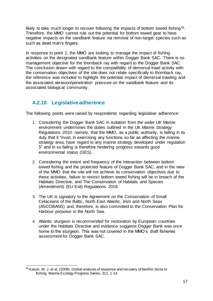likely to take much longer to recover following the impacts of bottom towed fishing<sup>38</sup>. Therefore, the MMO cannot rule out the potential for bottom towed gear to have negative impacts on the sandbank feature via removal of non-target species such as such as dead man's fingers.

In response to point 2, the MMO are looking to manage the impact of fishing activities on the designated sandbank feature within Dogger Bank SAC. There is no management objective for the thornback ray with regard to the Dogger Bank SAC. The conclusion drawn with regard to the compatibility of demersal trawl activity with the conservation objectives of the site does not relate specifically to thornback ray, the reference was included to highlight the potential impact of demersal trawling and the associated abrasion/penetration pressure on the sandbank feature and its associated biological community.

## **4.2.10 Legislative adherence**

The following points were raised by respondents regarding legislative adherence:

- 1. Considering the Dogger Bank SAC in isolation from the wider UK Marine environment undermines the duties outlined in the UK Marine Strategy Regulations 2010: namely, that the MMO, as a public authority, is failing in its duty that it "must, in exercising any functions so far as affecting the marine strategy area, have regard to any marine strategy developed under regulation 5" and in so failing is therefore hindering progress towards good environmental status (GES).
- 2. Considering the extent and frequency of the interaction between bottom towed fishing and the protected feature of Dogger Bank SAC, and in the view of the MMO that the site will not achieve its conservation objectives due to these activities, failure to restrict bottom towed fishing will be in breach of the Habitats Directive, and The Conservation of Habitats and Species (Amendment) (EU Exit) Regulations 2019.
- 3. The UK is signatory to the Agreement on the Conservation of Small Cetaceans of the Baltic, North East Atlantic, Irish and North Seas (ASCOBANS) and, therefore, is also committed to the Conservation Plan for Harbour porpoise in the North Sea.
- 4. Atlantic sturgeon is recommended for restoration by European countries under the Habitats Directive and evidence suggests Dogger Bank was once home to the sturgeon. This was not covered in the MMO's draft fisheries assessment for Dogger Bank SAC.

j <sup>38</sup> Kaiser, M. J. et al. (2006). Global analysis of response and recovery of benthic biota to fishing. Marine Ecology Progress Series, 311, 1-14.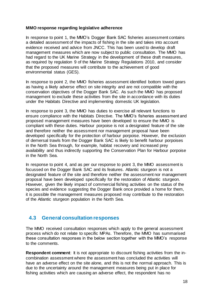#### **MMO response regarding legislative adherence**

In response to point 1, the MMO's Dogger Bank SAC fisheries assessment contains a detailed assessment of the impacts of fishing in the site and takes into account evidence received and advice from JNCC. This has been used to develop draft management measures which are now subject to public consultation. The MMO has had regard to the UK Marine Strategy in the development of these draft measures, as required by regulation 9 of the Marine Strategy Regulations 2010, and consider that the proposed measures will contribute to the achievement of good environmental status (GES).

In response to point 2, the MMO fisheries assessment identified bottom towed gears as having a likely adverse effect on site integrity and are not compatible with the conservation objectives of the Dogger Bank SAC. As such the MMO has proposed management to exclude these activities from the site in accordance with its duties under the Habitats Directive and implementing domestic UK legislation.

In response to point 3, the MMO has duties to exercise all relevant functions to ensure compliance with the Habitats Directive. The MMO's fisheries assessment and proposed management measures have been developed to ensure the MMO is compliant with these duties. Harbour porpoise is not a designated feature of the site and therefore neither the assessment nor management proposal have been developed specifically for the protection of harbour porpoise. However, the exclusion of demersal trawls from the Dogger Bank SAC is likely to benefit harbour porpoises in the North Sea through, for example, habitat recovery and increased prey availability and thus indirectly supporting the Conservation Plan for Harbour porpoise in the North Sea.

In response to point 4, and as per our response to point 3, the MMO assessment is focussed on the Dogger Bank SAC and its features. Atlantic sturgeon is not a designated feature of the site and therefore neither the assessment nor management proposal have been developed specifically for the restoration of Atlantic sturgeon. However, given the likely impact of commercial fishing activities on the status of the species and evidence suggesting the Dogger Bank once provided a home for them, it is possible the management measures proposed may contribute to the restoration of the Atlantic sturgeon population in the North Sea.

## **4.3 General consultation responses**

The MMO received consultation responses which apply to the general assessment process which do not relate to specific MPAs. Therefore, the MMO has summarised these consultation responses in the below section together with the MMO's response to the comments.

**Respondent comment:** It is not appropriate to discount fishing activities from the incombination assessment where the assessment has concluded the activities will have an adverse effect on the site alone, and this is not the normal approach. This is due to the uncertainty around the management measures being put in place for fishing activities which are causing an adverse effect, the respondent has no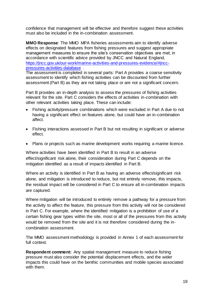confidence that management will be effective and therefore suggest these activities must also be included in the in-combination assessment.

**MMO Response**: The MMO MPA fisheries assessments aim to identify adverse effects on designated features from fishing pressures and suggest appropriate management measures to ensure the site's conservation objectives are met, in accordance with scientific advice provided by JNCC and Natural England, [https://jncc.gov.uk/our-work/marine-activities-and-pressures-evidence/#jncc](https://jncc.gov.uk/our-work/marine-activities-and-pressures-evidence/#jncc-pressures-activities-database)[pressures-activities-database](https://jncc.gov.uk/our-work/marine-activities-and-pressures-evidence/#jncc-pressures-activities-database) .

The assessment is completed in several parts: Part A provides a coarse sensitivity assessment to identify which fishing activities can be discounted from further assessment (Part B) as they are not taking place or are not a significant concern.

Part B provides an in-depth analysis to assess the pressures of fishing activities relevant for the site. Part C considers the effects of activities in-combination with other relevant activities taking place. These can include:

- Fishing activity/pressure combinations which were excluded in Part A due to not having a significant effect on features alone, but could have an in-combination affect.
- Fishing interactions assessed in Part B but not resulting in significant or adverse effect.
- Plans or projects such as marine development works requiring a marine licence.

Where activities have been identified in Part B to result in an adverse effect/significant risk alone, their consideration during Part C depends on the mitigation identified as a result of impacts identified in Part B.

Where an activity is identified in Part B as having an adverse effect/significant risk alone, and mitigation is introduced to reduce, but not entirely remove, this impacts, the residual impact will be considered in Part C to ensure all in-combination impacts are captured.

Where mitigation will be introduced to entirely remove a pathway for a pressure from the activity to affect the feature, this pressure from this activity will not be considered in Part C. For example, where the identified mitigation is a prohibition of use of a certain fishing gear types within the site, most or all of the pressures from this activity would be removed from the site and it is not therefore considered during the incombination assessment.

The MMO assessment methodology is provided in Annex 1 of each assessment for full context.

**Respondent comment:** Any spatial management measure to reduce fishing pressure must also consider the potential displacement effects, and the wider impacts this could have on the benthic communities and mobile species associated with them.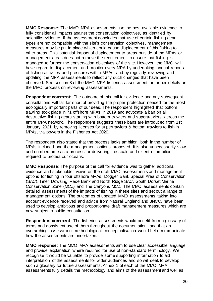**MMO Response**: The MMO MPA assessments use the best available evidence to fully consider all impacts against the conservation objectives, as identified by scientific evidence. If the assessment concludes that use of certain fishing gear types are not compatible with the site's conservation objectives, management measures may be put in place which could cause displacement of this fishing to other areas. This potential impact of displacement to areas outside of the MPAs or management areas does not remove the requirement to ensure that fishing is managed to further the conservation objectives of the site. However, the MMO will have regard to displacement and monitor every MPA by undertaking annual reports of fishing activities and pressures within MPAs, and by regularly reviewing and updating the MPA assessments to reflect any such changes that have been observed. See section 8 of the MMO MPA fisheries assessment for further details on the MMO process on reviewing assessments.

**Respondent comment:** The outcome of this call for evidence and any subsequent consultations will fall far short of providing the proper protection needed for the most ecologically important parts of our seas. The respondent highlighted that bottom trawling took place in 71 offshore MPAs in 2019 and advocate a ban on all destructive fishing gears starting with bottom trawlers and supertrawlers, across the entire MPA network. The respondent suggests these bans are introduced from 1st January 2021, by removing licenses for supertrawlers & bottom trawlers to fish in MPAs, via powers in the Fisheries Act 2020.

The respondent also stated that the process lacks ambition, both in the number of MPAs included and the management options proposed. It is also unnecessarily slow and cumbersome as a process for delivering the scale and extent of ambition required to protect our oceans.

**MMO Response**: The purpose of the call for evidence was to gather additional evidence and stakeholder views on the draft MMO assessments and management options for fishing in four offshore MPAs: Dogger Bank Special Area of Conservation (SAC), Inner Dowsing, Race Bank and North Ridge SAC, South Dorset Marine Conservation Zone (MCZ) and The Canyons MCZ. The MMO assessments contain detailed assessments of the impacts of fishing in these sites and set out a range of management options. The outcomes of updated MMO assessments, taking into account evidence received and advice from Natural England and JNCC, have been used to develop ambitious and proportionate draft management measures which are now subject to public consultation.

**Respondent comment**: The fisheries assessments would benefit from a glossary of terms and consistent use of them throughout the documentation, and that an overarching assessment methodological conceptualisation would help communicate how the assessments are undertaken.

**MMO response**: The MMO MPA assessments aim to use clear accessible language and provide explanation where required for use of non-standard terminology. We recognise it would be valuable to provide some supporting information to aid interpretation of the assessments for wider audiences and so will seek to develop such a glossary for future assessments. Annex 1 of each of the MMO MPA assessments fully details the methodology and aims of the assessment and well as